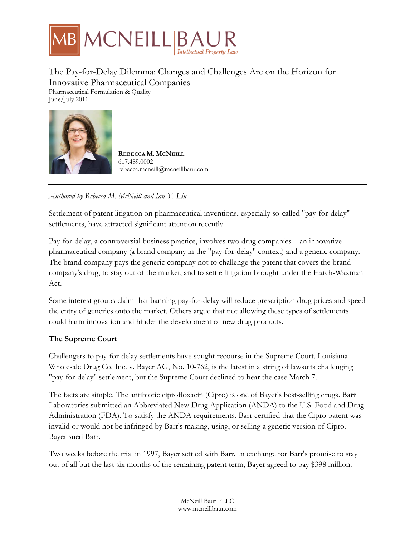

## The Pay-for-Delay Dilemma: Changes and Challenges Are on the Horizon for Innovative Pharmaceutical Companies Pharmaceutical Formulation & Quality

June/July 2011



**REBECCA M. MCNEILL** 617.489.0002 rebecca.mcneill@mcneillbaur.com

*Authored by Rebecca M. McNeill and Ian Y. Liu*

Settlement of patent litigation on pharmaceutical inventions, especially so-called "pay-for-delay" settlements, have attracted significant attention recently.

Pay-for-delay, a controversial business practice, involves two drug companies—an innovative pharmaceutical company (a brand company in the "pay-for-delay" context) and a generic company. The brand company pays the generic company not to challenge the patent that covers the brand company's drug, to stay out of the market, and to settle litigation brought under the Hatch-Waxman Act.

Some interest groups claim that banning pay-for-delay will reduce prescription drug prices and speed the entry of generics onto the market. Others argue that not allowing these types of settlements could harm innovation and hinder the development of new drug products.

## **The Supreme Court**

Challengers to pay-for-delay settlements have sought recourse in the Supreme Court. Louisiana Wholesale Drug Co. Inc. v. Bayer AG, No. 10-762, is the latest in a string of lawsuits challenging "pay-for-delay" settlement, but the Supreme Court declined to hear the case March 7.

The facts are simple. The antibiotic ciprofloxacin (Cipro) is one of Bayer's best-selling drugs. Barr Laboratories submitted an Abbreviated New Drug Application (ANDA) to the U.S. Food and Drug Administration (FDA). To satisfy the ANDA requirements, Barr certified that the Cipro patent was invalid or would not be infringed by Barr's making, using, or selling a generic version of Cipro. Bayer sued Barr.

Two weeks before the trial in 1997, Bayer settled with Barr. In exchange for Barr's promise to stay out of all but the last six months of the remaining patent term, Bayer agreed to pay \$398 million.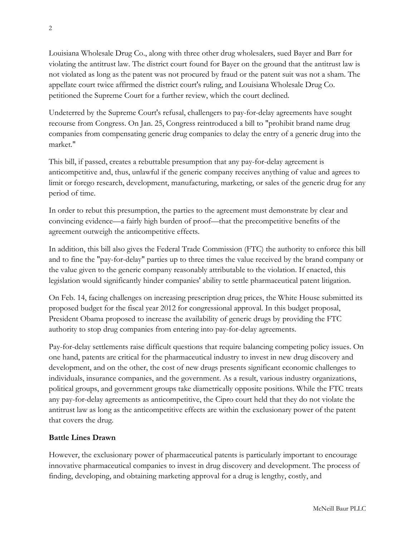Louisiana Wholesale Drug Co., along with three other drug wholesalers, sued Bayer and Barr for violating the antitrust law. The district court found for Bayer on the ground that the antitrust law is not violated as long as the patent was not procured by fraud or the patent suit was not a sham. The appellate court twice affirmed the district court's ruling, and Louisiana Wholesale Drug Co. petitioned the Supreme Court for a further review, which the court declined.

Undeterred by the Supreme Court's refusal, challengers to pay-for-delay agreements have sought recourse from Congress. On Jan. 25, Congress reintroduced a bill to "prohibit brand name drug companies from compensating generic drug companies to delay the entry of a generic drug into the market."

This bill, if passed, creates a rebuttable presumption that any pay-for-delay agreement is anticompetitive and, thus, unlawful if the generic company receives anything of value and agrees to limit or forego research, development, manufacturing, marketing, or sales of the generic drug for any period of time.

In order to rebut this presumption, the parties to the agreement must demonstrate by clear and convincing evidence—a fairly high burden of proof—that the precompetitive benefits of the agreement outweigh the anticompetitive effects.

In addition, this bill also gives the Federal Trade Commission (FTC) the authority to enforce this bill and to fine the "pay-for-delay" parties up to three times the value received by the brand company or the value given to the generic company reasonably attributable to the violation. If enacted, this legislation would significantly hinder companies' ability to settle pharmaceutical patent litigation.

On Feb. 14, facing challenges on increasing prescription drug prices, the White House submitted its proposed budget for the fiscal year 2012 for congressional approval. In this budget proposal, President Obama proposed to increase the availability of generic drugs by providing the FTC authority to stop drug companies from entering into pay-for-delay agreements.

Pay-for-delay settlements raise difficult questions that require balancing competing policy issues. On one hand, patents are critical for the pharmaceutical industry to invest in new drug discovery and development, and on the other, the cost of new drugs presents significant economic challenges to individuals, insurance companies, and the government. As a result, various industry organizations, political groups, and government groups take diametrically opposite positions. While the FTC treats any pay-for-delay agreements as anticompetitive, the Cipro court held that they do not violate the antitrust law as long as the anticompetitive effects are within the exclusionary power of the patent that covers the drug.

## **Battle Lines Drawn**

However, the exclusionary power of pharmaceutical patents is particularly important to encourage innovative pharmaceutical companies to invest in drug discovery and development. The process of finding, developing, and obtaining marketing approval for a drug is lengthy, costly, and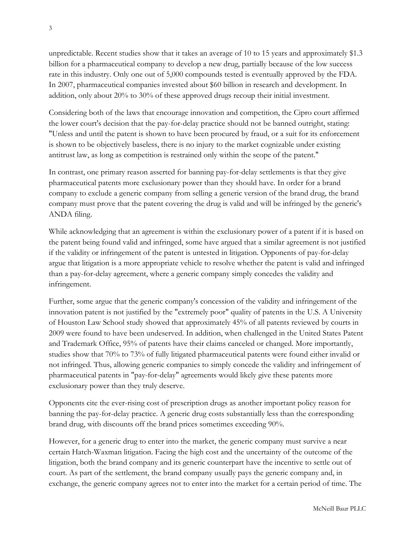unpredictable. Recent studies show that it takes an average of 10 to 15 years and approximately \$1.3 billion for a pharmaceutical company to develop a new drug, partially because of the low success rate in this industry. Only one out of 5,000 compounds tested is eventually approved by the FDA. In 2007, pharmaceutical companies invested about \$60 billion in research and development. In addition, only about 20% to 30% of these approved drugs recoup their initial investment.

Considering both of the laws that encourage innovation and competition, the Cipro court affirmed the lower court's decision that the pay-for-delay practice should not be banned outright, stating: "Unless and until the patent is shown to have been procured by fraud, or a suit for its enforcement is shown to be objectively baseless, there is no injury to the market cognizable under existing antitrust law, as long as competition is restrained only within the scope of the patent."

In contrast, one primary reason asserted for banning pay-for-delay settlements is that they give pharmaceutical patents more exclusionary power than they should have. In order for a brand company to exclude a generic company from selling a generic version of the brand drug, the brand company must prove that the patent covering the drug is valid and will be infringed by the generic's ANDA filing.

While acknowledging that an agreement is within the exclusionary power of a patent if it is based on the patent being found valid and infringed, some have argued that a similar agreement is not justified if the validity or infringement of the patent is untested in litigation. Opponents of pay-for-delay argue that litigation is a more appropriate vehicle to resolve whether the patent is valid and infringed than a pay-for-delay agreement, where a generic company simply concedes the validity and infringement.

Further, some argue that the generic company's concession of the validity and infringement of the innovation patent is not justified by the "extremely poor" quality of patents in the U.S. A University of Houston Law School study showed that approximately 45% of all patents reviewed by courts in 2009 were found to have been undeserved. In addition, when challenged in the United States Patent and Trademark Office, 95% of patents have their claims canceled or changed. More importantly, studies show that 70% to 73% of fully litigated pharmaceutical patents were found either invalid or not infringed. Thus, allowing generic companies to simply concede the validity and infringement of pharmaceutical patents in "pay-for-delay" agreements would likely give these patents more exclusionary power than they truly deserve.

Opponents cite the ever-rising cost of prescription drugs as another important policy reason for banning the pay-for-delay practice. A generic drug costs substantially less than the corresponding brand drug, with discounts off the brand prices sometimes exceeding 90%.

However, for a generic drug to enter into the market, the generic company must survive a near certain Hatch-Waxman litigation. Facing the high cost and the uncertainty of the outcome of the litigation, both the brand company and its generic counterpart have the incentive to settle out of court. As part of the settlement, the brand company usually pays the generic company and, in exchange, the generic company agrees not to enter into the market for a certain period of time. The